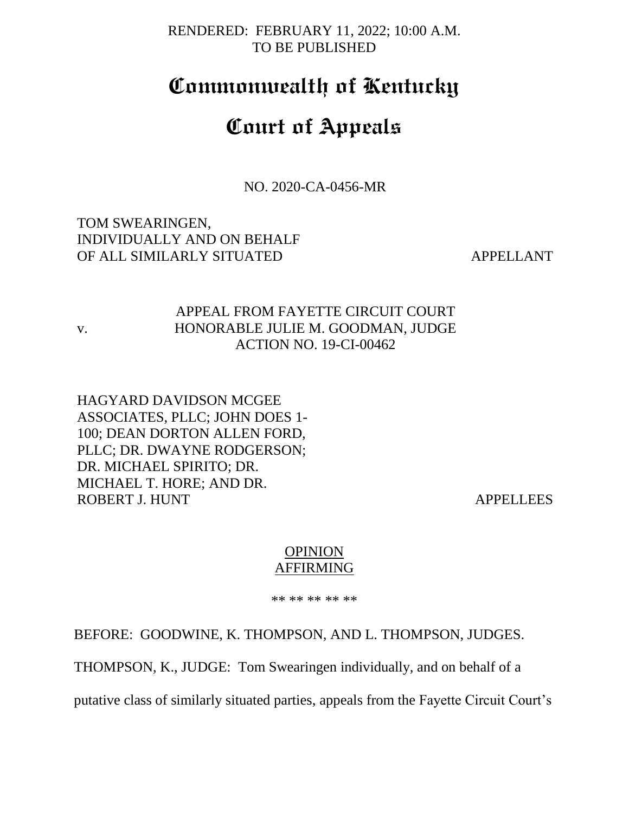### RENDERED: FEBRUARY 11, 2022; 10:00 A.M. TO BE PUBLISHED

# **Commonwealth of Kentucky**

# **Court of Appeals**

NO. 2020-CA-0456-MR

TOM SWEARINGEN, INDIVIDUALLY AND ON BEHALF OF ALL SIMILARLY SITUATED APPELLANT

v.

## APPEAL FROM FAYETTE CIRCUIT COURT HONORABLE JULIE M. GOODMAN, JUDGE ACTION NO. 19-CI-00462

HAGYARD DAVIDSON MCGEE ASSOCIATES, PLLC; JOHN DOES 1- 100; DEAN DORTON ALLEN FORD, PLLC; DR. DWAYNE RODGERSON; DR. MICHAEL SPIRITO; DR. MICHAEL T. HORE; AND DR. ROBERT J. HUNT APPELLEES

#### **OPINION** AFFIRMING

\*\* \*\* \*\* \*\* \*\*

BEFORE: GOODWINE, K. THOMPSON, AND L. THOMPSON, JUDGES.

THOMPSON, K., JUDGE: Tom Swearingen individually, and on behalf of a

putative class of similarly situated parties, appeals from the Fayette Circuit Court's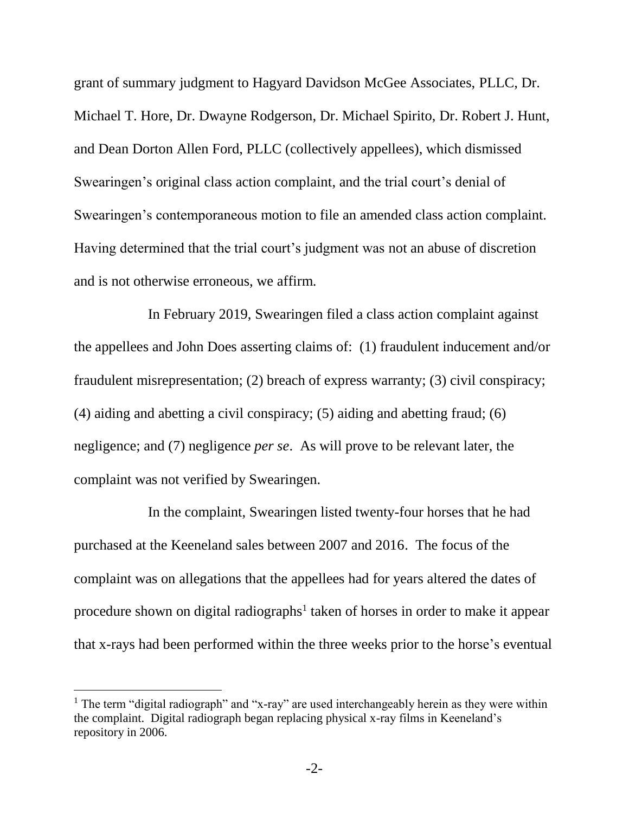grant of summary judgment to Hagyard Davidson McGee Associates, PLLC, Dr. Michael T. Hore, Dr. Dwayne Rodgerson, Dr. Michael Spirito, Dr. Robert J. Hunt, and Dean Dorton Allen Ford, PLLC (collectively appellees), which dismissed Swearingen's original class action complaint, and the trial court's denial of Swearingen's contemporaneous motion to file an amended class action complaint. Having determined that the trial court's judgment was not an abuse of discretion and is not otherwise erroneous, we affirm.

In February 2019, Swearingen filed a class action complaint against the appellees and John Does asserting claims of: (1) fraudulent inducement and/or fraudulent misrepresentation; (2) breach of express warranty; (3) civil conspiracy; (4) aiding and abetting a civil conspiracy; (5) aiding and abetting fraud; (6) negligence; and (7) negligence *per se*. As will prove to be relevant later, the complaint was not verified by Swearingen.

In the complaint, Swearingen listed twenty-four horses that he had purchased at the Keeneland sales between 2007 and 2016. The focus of the complaint was on allegations that the appellees had for years altered the dates of procedure shown on digital radiographs<sup>1</sup> taken of horses in order to make it appear that x-rays had been performed within the three weeks prior to the horse's eventual

l

<sup>&</sup>lt;sup>1</sup> The term "digital radiograph" and "x-ray" are used interchangeably herein as they were within the complaint. Digital radiograph began replacing physical x-ray films in Keeneland's repository in 2006.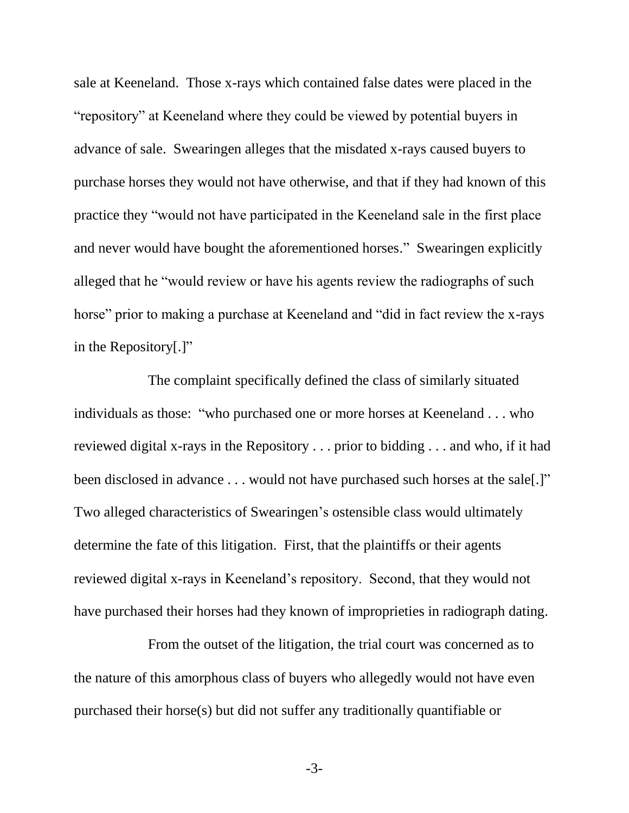sale at Keeneland. Those x-rays which contained false dates were placed in the "repository" at Keeneland where they could be viewed by potential buyers in advance of sale. Swearingen alleges that the misdated x-rays caused buyers to purchase horses they would not have otherwise, and that if they had known of this practice they "would not have participated in the Keeneland sale in the first place and never would have bought the aforementioned horses." Swearingen explicitly alleged that he "would review or have his agents review the radiographs of such horse" prior to making a purchase at Keeneland and "did in fact review the x-rays in the Repository[.]"

The complaint specifically defined the class of similarly situated individuals as those: "who purchased one or more horses at Keeneland . . . who reviewed digital x-rays in the Repository . . . prior to bidding . . . and who, if it had been disclosed in advance . . . would not have purchased such horses at the sale[.]" Two alleged characteristics of Swearingen's ostensible class would ultimately determine the fate of this litigation. First, that the plaintiffs or their agents reviewed digital x-rays in Keeneland's repository. Second, that they would not have purchased their horses had they known of improprieties in radiograph dating.

From the outset of the litigation, the trial court was concerned as to the nature of this amorphous class of buyers who allegedly would not have even purchased their horse(s) but did not suffer any traditionally quantifiable or

-3-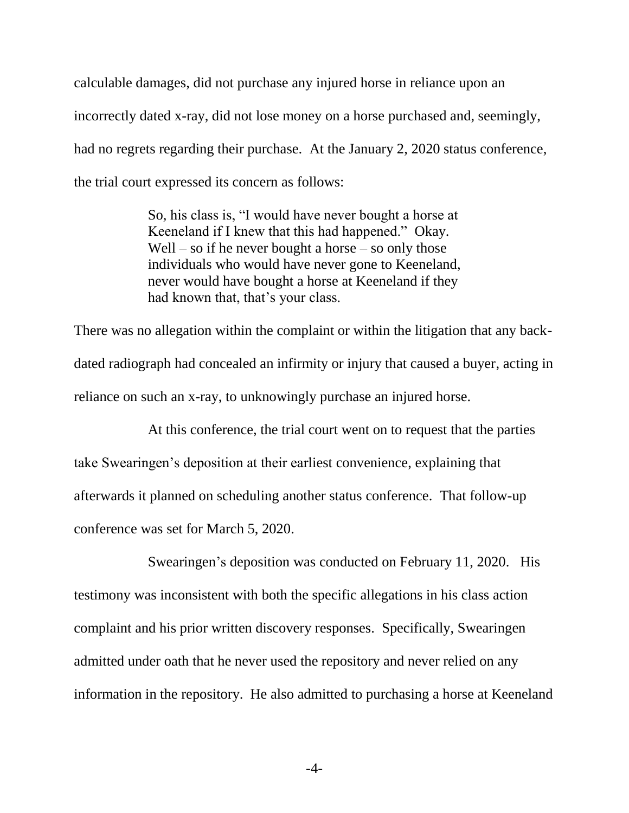calculable damages, did not purchase any injured horse in reliance upon an incorrectly dated x-ray, did not lose money on a horse purchased and, seemingly, had no regrets regarding their purchase. At the January 2, 2020 status conference, the trial court expressed its concern as follows:

> So, his class is, "I would have never bought a horse at Keeneland if I knew that this had happened." Okay. Well – so if he never bought a horse – so only those individuals who would have never gone to Keeneland, never would have bought a horse at Keeneland if they had known that, that's your class.

There was no allegation within the complaint or within the litigation that any backdated radiograph had concealed an infirmity or injury that caused a buyer, acting in reliance on such an x-ray, to unknowingly purchase an injured horse.

At this conference, the trial court went on to request that the parties take Swearingen's deposition at their earliest convenience, explaining that afterwards it planned on scheduling another status conference. That follow-up conference was set for March 5, 2020.

Swearingen's deposition was conducted on February 11, 2020. His testimony was inconsistent with both the specific allegations in his class action complaint and his prior written discovery responses. Specifically, Swearingen admitted under oath that he never used the repository and never relied on any information in the repository. He also admitted to purchasing a horse at Keeneland

-4-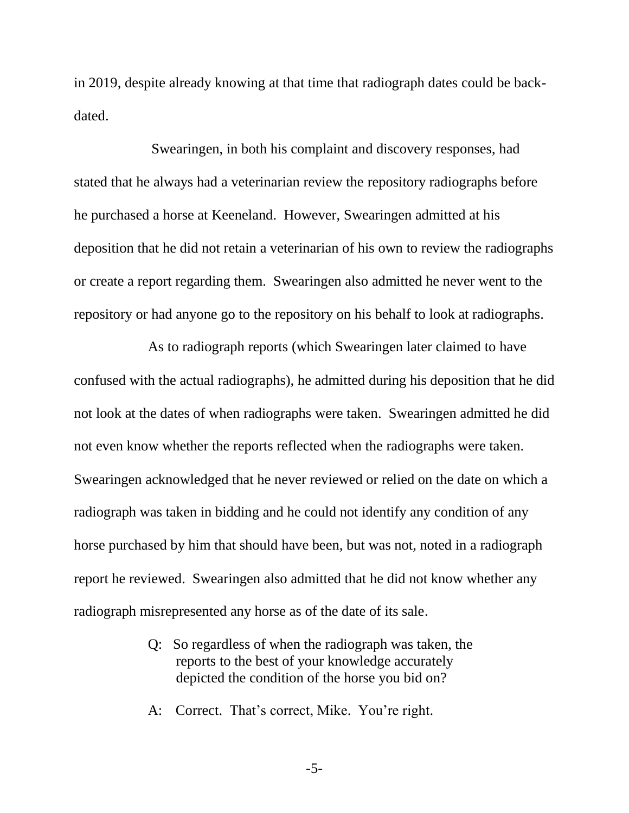in 2019, despite already knowing at that time that radiograph dates could be backdated.

Swearingen, in both his complaint and discovery responses, had stated that he always had a veterinarian review the repository radiographs before he purchased a horse at Keeneland. However, Swearingen admitted at his deposition that he did not retain a veterinarian of his own to review the radiographs or create a report regarding them. Swearingen also admitted he never went to the repository or had anyone go to the repository on his behalf to look at radiographs.

As to radiograph reports (which Swearingen later claimed to have confused with the actual radiographs), he admitted during his deposition that he did not look at the dates of when radiographs were taken. Swearingen admitted he did not even know whether the reports reflected when the radiographs were taken. Swearingen acknowledged that he never reviewed or relied on the date on which a radiograph was taken in bidding and he could not identify any condition of any horse purchased by him that should have been, but was not, noted in a radiograph report he reviewed. Swearingen also admitted that he did not know whether any radiograph misrepresented any horse as of the date of its sale.

- Q: So regardless of when the radiograph was taken, the reports to the best of your knowledge accurately depicted the condition of the horse you bid on?
- A: Correct. That's correct, Mike. You're right.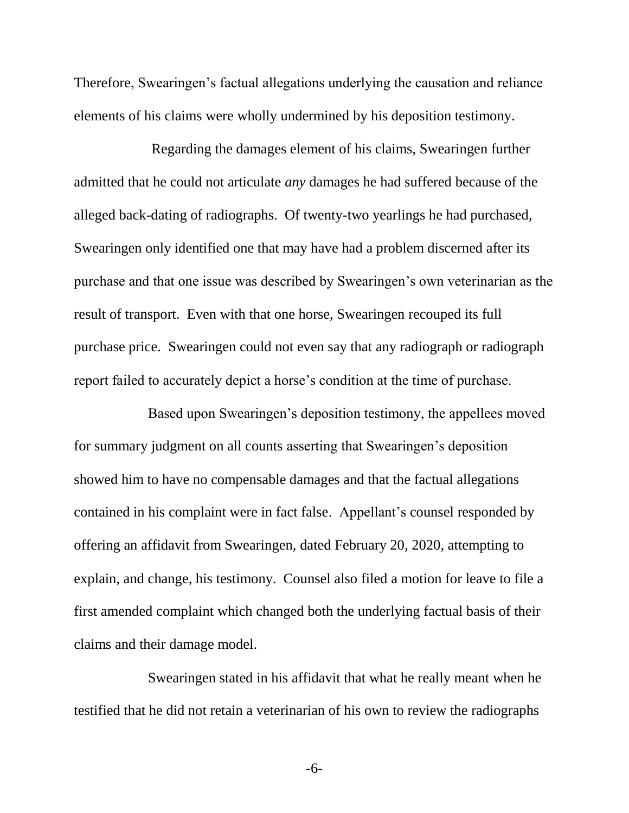Therefore, Swearingen's factual allegations underlying the causation and reliance elements of his claims were wholly undermined by his deposition testimony.

Regarding the damages element of his claims, Swearingen further admitted that he could not articulate *any* damages he had suffered because of the alleged back-dating of radiographs. Of twenty-two yearlings he had purchased, Swearingen only identified one that may have had a problem discerned after its purchase and that one issue was described by Swearingen's own veterinarian as the result of transport. Even with that one horse, Swearingen recouped its full purchase price. Swearingen could not even say that any radiograph or radiograph report failed to accurately depict a horse's condition at the time of purchase.

Based upon Swearingen's deposition testimony, the appellees moved for summary judgment on all counts asserting that Swearingen's deposition showed him to have no compensable damages and that the factual allegations contained in his complaint were in fact false. Appellant's counsel responded by offering an affidavit from Swearingen, dated February 20, 2020, attempting to explain, and change, his testimony. Counsel also filed a motion for leave to file a first amended complaint which changed both the underlying factual basis of their claims and their damage model.

Swearingen stated in his affidavit that what he really meant when he testified that he did not retain a veterinarian of his own to review the radiographs

-6-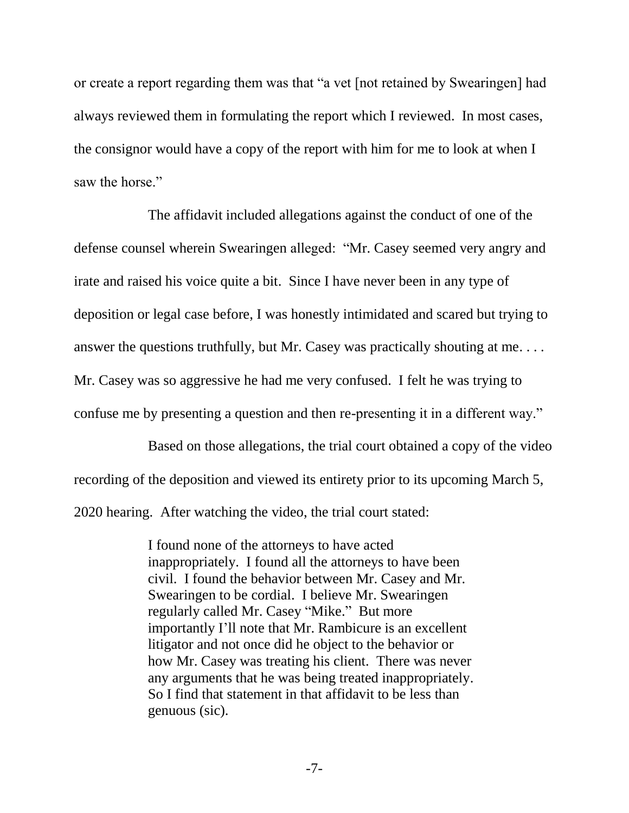or create a report regarding them was that "a vet [not retained by Swearingen] had always reviewed them in formulating the report which I reviewed. In most cases, the consignor would have a copy of the report with him for me to look at when I saw the horse."

The affidavit included allegations against the conduct of one of the defense counsel wherein Swearingen alleged: "Mr. Casey seemed very angry and irate and raised his voice quite a bit. Since I have never been in any type of deposition or legal case before, I was honestly intimidated and scared but trying to answer the questions truthfully, but Mr. Casey was practically shouting at me. . . . Mr. Casey was so aggressive he had me very confused. I felt he was trying to confuse me by presenting a question and then re-presenting it in a different way."

Based on those allegations, the trial court obtained a copy of the video recording of the deposition and viewed its entirety prior to its upcoming March 5, 2020 hearing. After watching the video, the trial court stated:

> I found none of the attorneys to have acted inappropriately. I found all the attorneys to have been civil. I found the behavior between Mr. Casey and Mr. Swearingen to be cordial. I believe Mr. Swearingen regularly called Mr. Casey "Mike." But more importantly I'll note that Mr. Rambicure is an excellent litigator and not once did he object to the behavior or how Mr. Casey was treating his client. There was never any arguments that he was being treated inappropriately. So I find that statement in that affidavit to be less than genuous (sic).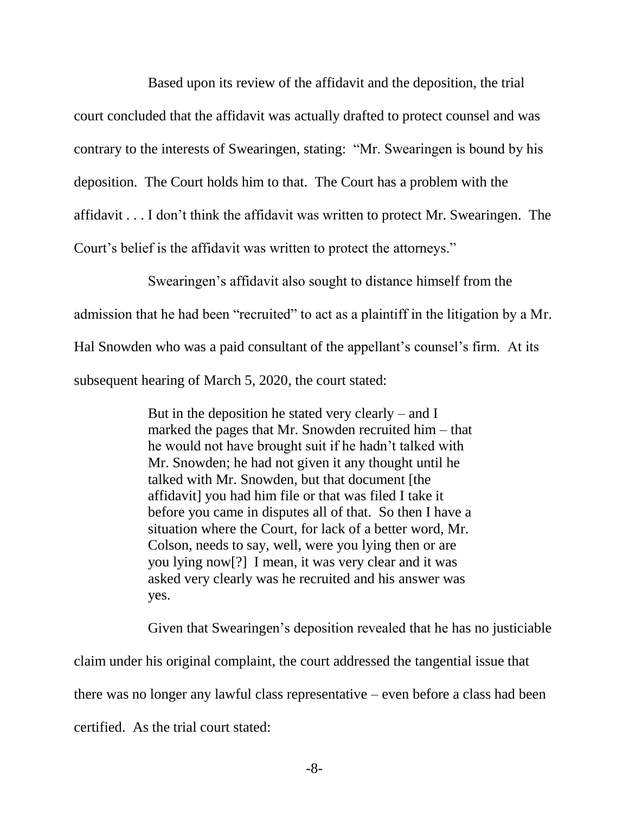Based upon its review of the affidavit and the deposition, the trial court concluded that the affidavit was actually drafted to protect counsel and was contrary to the interests of Swearingen, stating: "Mr. Swearingen is bound by his deposition. The Court holds him to that. The Court has a problem with the affidavit . . . I don't think the affidavit was written to protect Mr. Swearingen. The Court's belief is the affidavit was written to protect the attorneys."

Swearingen's affidavit also sought to distance himself from the

admission that he had been "recruited" to act as a plaintiff in the litigation by a Mr.

Hal Snowden who was a paid consultant of the appellant's counsel's firm. At its

subsequent hearing of March 5, 2020, the court stated:

But in the deposition he stated very clearly – and I marked the pages that Mr. Snowden recruited him – that he would not have brought suit if he hadn't talked with Mr. Snowden; he had not given it any thought until he talked with Mr. Snowden, but that document [the affidavit] you had him file or that was filed I take it before you came in disputes all of that. So then I have a situation where the Court, for lack of a better word, Mr. Colson, needs to say, well, were you lying then or are you lying now[?] I mean, it was very clear and it was asked very clearly was he recruited and his answer was yes.

Given that Swearingen's deposition revealed that he has no justiciable

claim under his original complaint, the court addressed the tangential issue that there was no longer any lawful class representative – even before a class had been certified. As the trial court stated: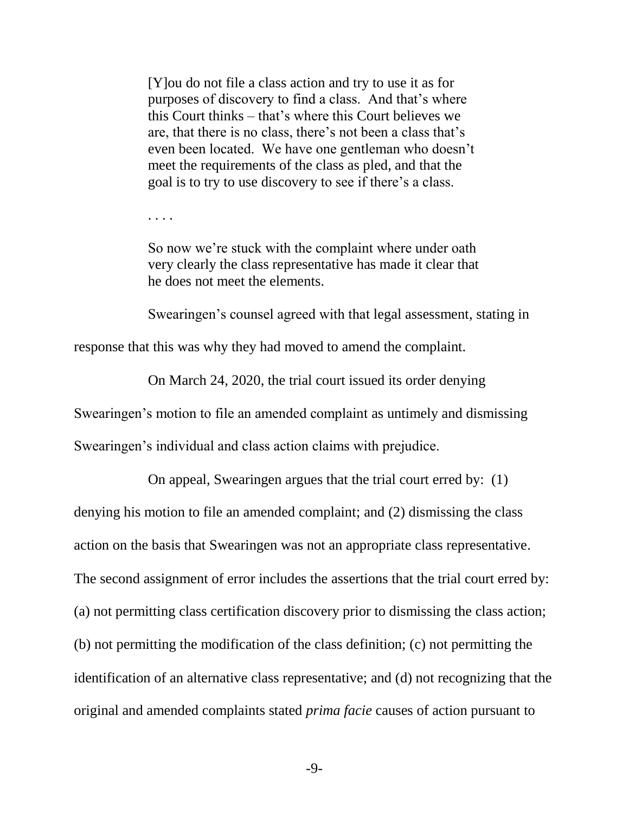[Y]ou do not file a class action and try to use it as for purposes of discovery to find a class. And that's where this Court thinks – that's where this Court believes we are, that there is no class, there's not been a class that's even been located. We have one gentleman who doesn't meet the requirements of the class as pled, and that the goal is to try to use discovery to see if there's a class.

. . . .

So now we're stuck with the complaint where under oath very clearly the class representative has made it clear that he does not meet the elements.

Swearingen's counsel agreed with that legal assessment, stating in

response that this was why they had moved to amend the complaint.

On March 24, 2020, the trial court issued its order denying

Swearingen's motion to file an amended complaint as untimely and dismissing

Swearingen's individual and class action claims with prejudice.

On appeal, Swearingen argues that the trial court erred by: (1)

denying his motion to file an amended complaint; and (2) dismissing the class

action on the basis that Swearingen was not an appropriate class representative.

The second assignment of error includes the assertions that the trial court erred by:

(a) not permitting class certification discovery prior to dismissing the class action;

(b) not permitting the modification of the class definition; (c) not permitting the

identification of an alternative class representative; and (d) not recognizing that the

original and amended complaints stated *prima facie* causes of action pursuant to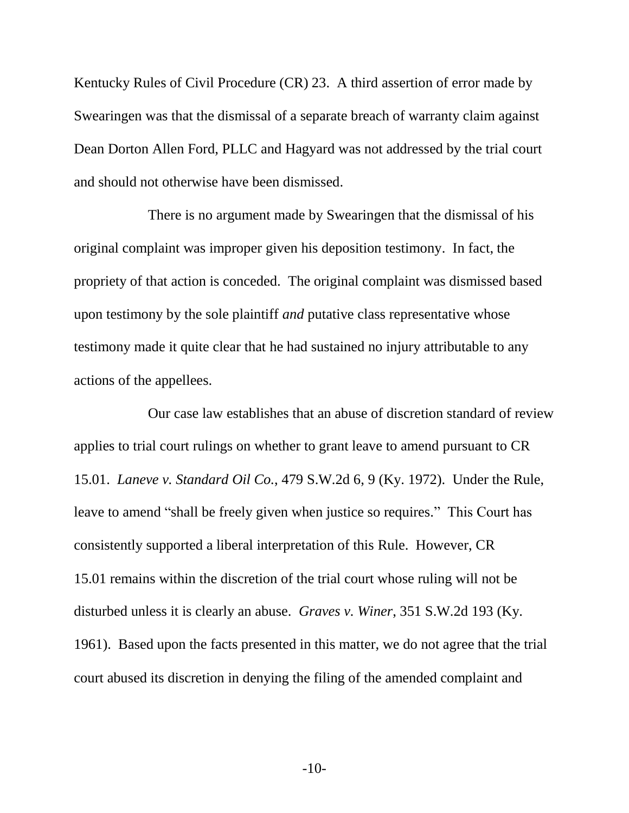Kentucky Rules of Civil Procedure (CR) 23. A third assertion of error made by Swearingen was that the dismissal of a separate breach of warranty claim against Dean Dorton Allen Ford, PLLC and Hagyard was not addressed by the trial court and should not otherwise have been dismissed.

There is no argument made by Swearingen that the dismissal of his original complaint was improper given his deposition testimony. In fact, the propriety of that action is conceded. The original complaint was dismissed based upon testimony by the sole plaintiff *and* putative class representative whose testimony made it quite clear that he had sustained no injury attributable to any actions of the appellees.

Our case law establishes that an abuse of discretion standard of review applies to trial court rulings on whether to grant leave to amend pursuant to CR 15.01. *Laneve v. Standard Oil Co.*, 479 S.W.2d 6, 9 (Ky. 1972). Under the Rule, leave to amend "shall be freely given when justice so requires." This Court has consistently supported a liberal interpretation of this Rule. However, CR 15.01 remains within the discretion of the trial court whose ruling will not be disturbed unless it is clearly an abuse. *Graves v. Winer*, 351 S.W.2d 193 (Ky. 1961). Based upon the facts presented in this matter, we do not agree that the trial court abused its discretion in denying the filing of the amended complaint and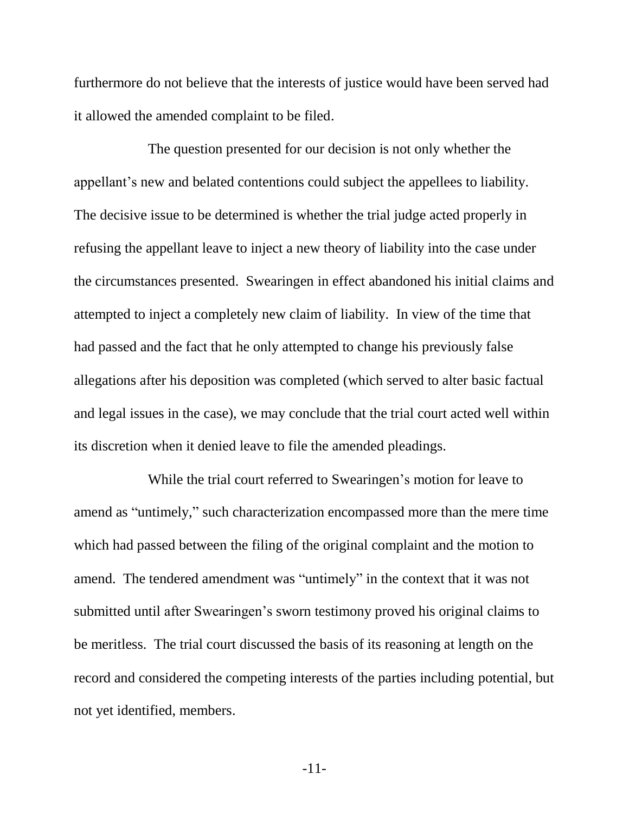furthermore do not believe that the interests of justice would have been served had it allowed the amended complaint to be filed.

The question presented for our decision is not only whether the appellant's new and belated contentions could subject the appellees to liability. The decisive issue to be determined is whether the trial judge acted properly in refusing the appellant leave to inject a new theory of liability into the case under the circumstances presented. Swearingen in effect abandoned his initial claims and attempted to inject a completely new claim of liability. In view of the time that had passed and the fact that he only attempted to change his previously false allegations after his deposition was completed (which served to alter basic factual and legal issues in the case), we may conclude that the trial court acted well within its discretion when it denied leave to file the amended pleadings.

While the trial court referred to Swearingen's motion for leave to amend as "untimely," such characterization encompassed more than the mere time which had passed between the filing of the original complaint and the motion to amend. The tendered amendment was "untimely" in the context that it was not submitted until after Swearingen's sworn testimony proved his original claims to be meritless. The trial court discussed the basis of its reasoning at length on the record and considered the competing interests of the parties including potential, but not yet identified, members.

-11-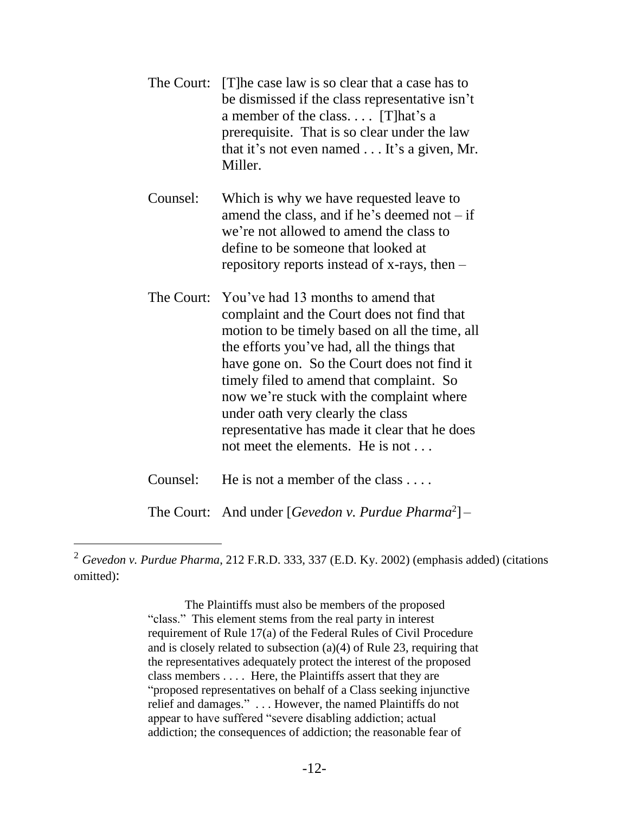|          | The Court: [T] he case law is so clear that a case has to<br>be dismissed if the class representative isn't<br>a member of the class $[T]hat's a$<br>prerequisite. That is so clear under the law<br>that it's not even named $\dots$ It's a given, Mr.<br>Miller. |
|----------|--------------------------------------------------------------------------------------------------------------------------------------------------------------------------------------------------------------------------------------------------------------------|
| Counsel: | Which is why we have requested leave to                                                                                                                                                                                                                            |

amend the class, and if he's deemed not  $-$  if we're not allowed to amend the class to define to be someone that looked at repository reports instead of x-rays, then –

The Court: You've had 13 months to amend that complaint and the Court does not find that motion to be timely based on all the time, all the efforts you've had, all the things that have gone on. So the Court does not find it timely filed to amend that complaint. So now we're stuck with the complaint where under oath very clearly the class representative has made it clear that he does not meet the elements. He is not . . .

Counsel: He is not a member of the class . . . .

 $\overline{a}$ 

The Court: And under [*Gevedon v. Purdue Pharma*<sup>2</sup> ] –

The Plaintiffs must also be members of the proposed "class." This element stems from the real party in interest requirement of Rule [17\(a\)](https://1.next.westlaw.com/Link/Document/FullText?findType=L&pubNum=1004365&cite=USFRCPR17&originatingDoc=I88c68de953ff11d9b17ee4cdc604a702&refType=LQ&originationContext=document&transitionType=DocumentItem&ppcid=db10a582f059449697bffb6a37830434&contextData=(sc.UserEnteredCitation)) of the Federal Rules of Civil Procedure and is closely related to subsection (a)(4) of [Rule](https://1.next.westlaw.com/Link/Document/FullText?findType=L&pubNum=1004365&cite=USFRCPR23&originatingDoc=I88c68de953ff11d9b17ee4cdc604a702&refType=LQ&originationContext=document&transitionType=DocumentItem&ppcid=db10a582f059449697bffb6a37830434&contextData=(sc.UserEnteredCitation)) 23, requiring that the representatives adequately protect the interest of the proposed class members . . . . Here, the Plaintiffs assert that they are "proposed representatives on behalf of a Class seeking injunctive relief and damages." . . . However, the named Plaintiffs do not appear to have suffered "severe disabling addiction; actual addiction; the consequences of addiction; the reasonable fear of

<sup>2</sup> *Gevedon v. Purdue Pharma*, 212 F.R.D. 333, 337 (E.D. Ky. 2002) (emphasis added) (citations omitted):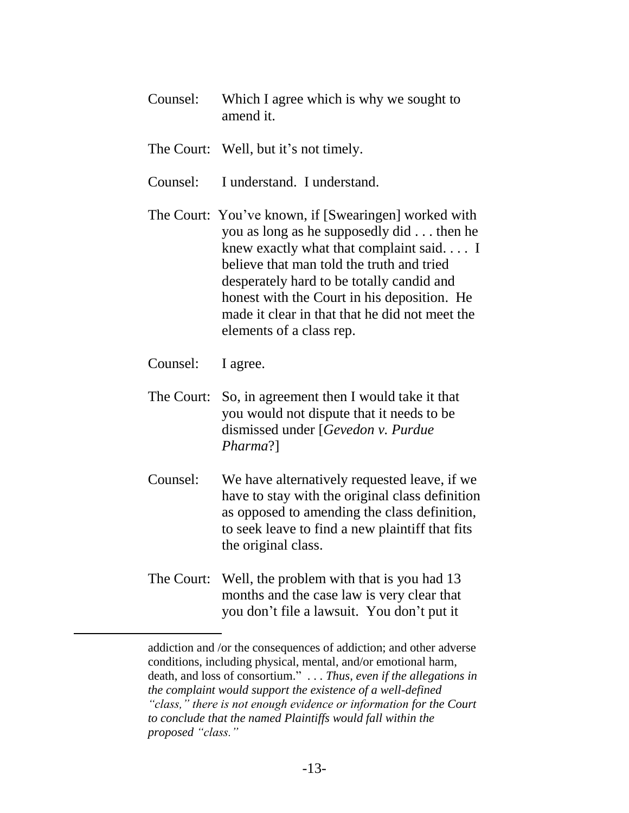| Counsel:   | Which I agree which is why we sought to<br>amend it.                                                                                                                                                                                                                                                                                                     |
|------------|----------------------------------------------------------------------------------------------------------------------------------------------------------------------------------------------------------------------------------------------------------------------------------------------------------------------------------------------------------|
|            | The Court: Well, but it's not timely.                                                                                                                                                                                                                                                                                                                    |
| Counsel:   | I understand. I understand.                                                                                                                                                                                                                                                                                                                              |
| The Court: | You've known, if [Swearingen] worked with<br>you as long as he supposedly did then he<br>knew exactly what that complaint said. I<br>believe that man told the truth and tried<br>desperately hard to be totally candid and<br>honest with the Court in his deposition. He<br>made it clear in that that he did not meet the<br>elements of a class rep. |
| Counsel:   | I agree.                                                                                                                                                                                                                                                                                                                                                 |
| The Court: | So, in agreement then I would take it that<br>you would not dispute that it needs to be<br>dismissed under [Gevedon v. Purdue<br>Pharma?]                                                                                                                                                                                                                |
| Counsel:   | We have alternatively requested leave, if we<br>have to stay with the original class definition<br>as opposed to amending the class definition,<br>to seek leave to find a new plaintiff that fits<br>the original class.                                                                                                                                |
| The Court: | Well, the problem with that is you had 13<br>months and the case law is very clear that<br>you don't file a lawsuit. You don't put it                                                                                                                                                                                                                    |

addiction and /or the consequences of addiction; and other adverse conditions, including physical, mental, and/or emotional harm, death, and loss of consortium." . . . *Thus, even if the allegations in the complaint would support the existence of a well-defined "class," there is not enough evidence or information for the Court to conclude that the named Plaintiffs would fall within the proposed "class."*

 $\overline{a}$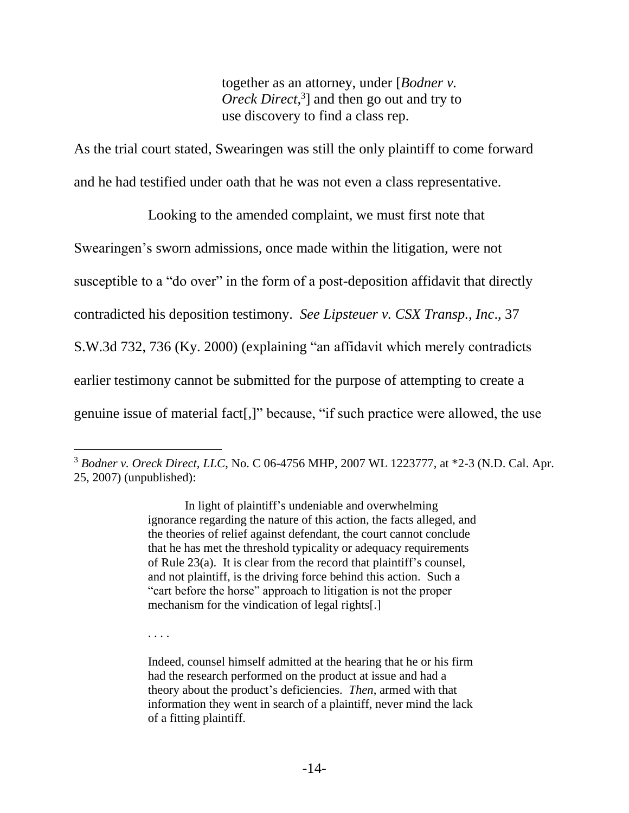together as an attorney, under [*Bodner v. Oreck Direct*, 3 ] and then go out and try to use discovery to find a class rep.

As the trial court stated, Swearingen was still the only plaintiff to come forward and he had testified under oath that he was not even a class representative.

Looking to the amended complaint, we must first note that Swearingen's sworn admissions, once made within the litigation, were not susceptible to a "do over" in the form of a post-deposition affidavit that directly contradicted his deposition testimony. *See Lipsteuer v. CSX Transp., Inc*., 37 S.W.3d 732, 736 (Ky. 2000) (explaining "an affidavit which merely contradicts earlier testimony cannot be submitted for the purpose of attempting to create a genuine issue of material fact[,]" because, "if such practice were allowed, the use

In light of plaintiff's undeniable and overwhelming ignorance regarding the nature of this action, the facts alleged, and the theories of relief against defendant, the court cannot conclude that he has met the threshold typicality or adequacy requirements of Rule 23(a). It is clear from the record that plaintiff's counsel, and not plaintiff, is the driving force behind this action. Such a "cart before the horse" approach to litigation is not the proper mechanism for the vindication of legal rights[.]

. . . .

 $\overline{a}$ <sup>3</sup> *Bodner v. Oreck Direct, LLC*, No. C 06-4756 MHP, 2007 WL 1223777, at \*2-3 (N.D. Cal. Apr. 25, 2007) (unpublished):

Indeed, counsel himself admitted at the hearing that he or his firm had the research performed on the product at issue and had a theory about the product's deficiencies. *Then*, armed with that information they went in search of a plaintiff, never mind the lack of a fitting plaintiff.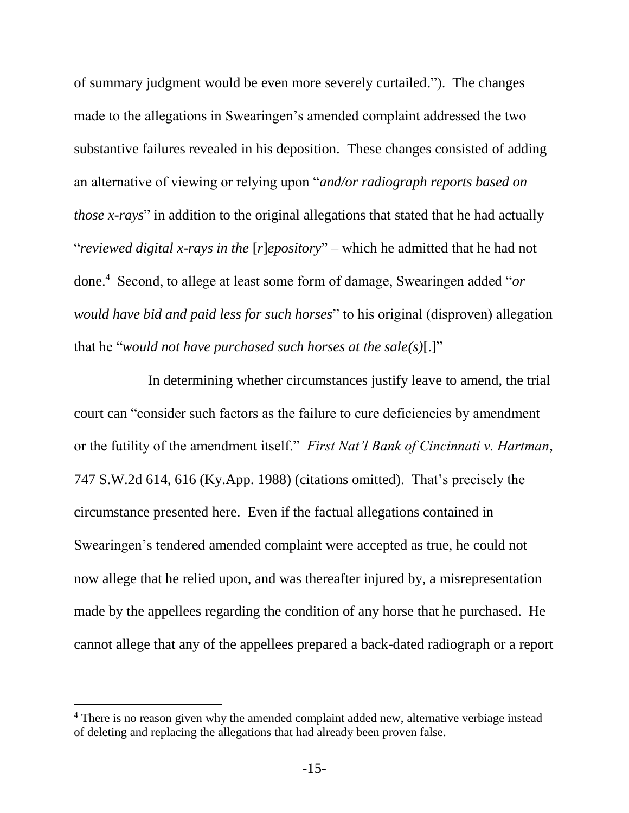of summary judgment would be even more severely curtailed."). The changes made to the allegations in Swearingen's amended complaint addressed the two substantive failures revealed in his deposition. These changes consisted of adding an alternative of viewing or relying upon "*and/or radiograph reports based on those x-rays*" in addition to the original allegations that stated that he had actually "*reviewed digital x-rays in the* [*r*]*epository*" – which he admitted that he had not done.<sup>4</sup> Second, to allege at least some form of damage, Swearingen added "*or would have bid and paid less for such horses*" to his original (disproven) allegation that he "*would not have purchased such horses at the sale(s)*[.]"

In determining whether circumstances justify leave to amend, the trial court can "consider such factors as the failure to cure deficiencies by amendment or the futility of the amendment itself." *First Nat'l Bank of Cincinnati v. Hartman*, 747 S.W.2d 614, 616 (Ky.App. 1988) (citations omitted). That's precisely the circumstance presented here. Even if the factual allegations contained in Swearingen's tendered amended complaint were accepted as true, he could not now allege that he relied upon, and was thereafter injured by, a misrepresentation made by the appellees regarding the condition of any horse that he purchased. He cannot allege that any of the appellees prepared a back-dated radiograph or a report

 $\overline{a}$ 

<sup>&</sup>lt;sup>4</sup> There is no reason given why the amended complaint added new, alternative verbiage instead of deleting and replacing the allegations that had already been proven false.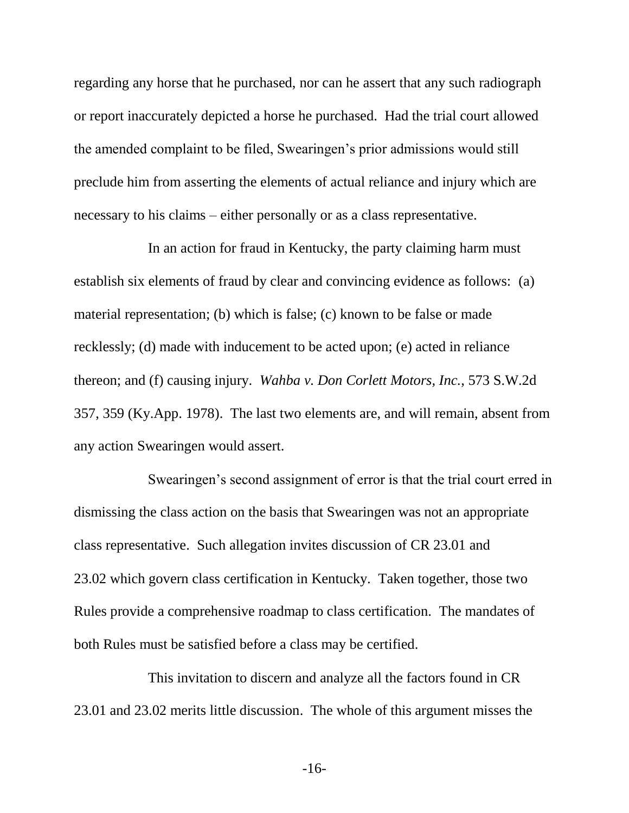regarding any horse that he purchased, nor can he assert that any such radiograph or report inaccurately depicted a horse he purchased. Had the trial court allowed the amended complaint to be filed, Swearingen's prior admissions would still preclude him from asserting the elements of actual reliance and injury which are necessary to his claims – either personally or as a class representative.

In an action for fraud in Kentucky, the party claiming harm must establish six elements of fraud by clear and convincing evidence as follows: (a) material representation; (b) which is false; (c) known to be false or made recklessly; (d) made with inducement to be acted upon; (e) acted in reliance thereon; and (f) causing injury. *Wahba v. Don Corlett Motors, Inc.*, 573 S.W.2d 357, 359 (Ky.App. 1978). The last two elements are, and will remain, absent from any action Swearingen would assert.

Swearingen's second assignment of error is that the trial court erred in dismissing the class action on the basis that Swearingen was not an appropriate class representative. Such allegation invites discussion of CR 23.01 and 23.02 which govern class certification in Kentucky. Taken together, those two Rules provide a comprehensive roadmap to class certification. The mandates of both Rules must be satisfied before a class may be certified.

This invitation to discern and analyze all the factors found in CR 23.01 and 23.02 merits little discussion. The whole of this argument misses the

-16-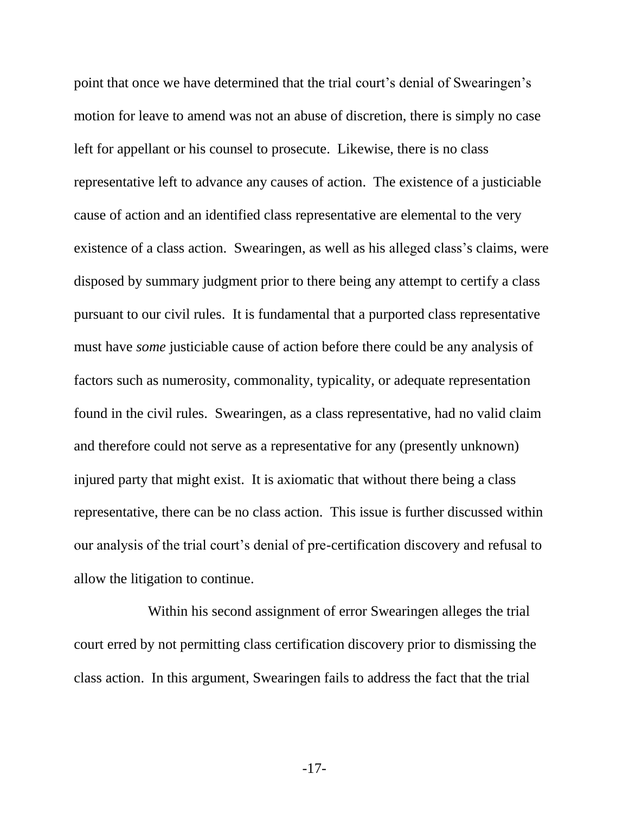point that once we have determined that the trial court's denial of Swearingen's motion for leave to amend was not an abuse of discretion, there is simply no case left for appellant or his counsel to prosecute. Likewise, there is no class representative left to advance any causes of action. The existence of a justiciable cause of action and an identified class representative are elemental to the very existence of a class action. Swearingen, as well as his alleged class's claims, were disposed by summary judgment prior to there being any attempt to certify a class pursuant to our civil rules. It is fundamental that a purported class representative must have *some* justiciable cause of action before there could be any analysis of factors such as numerosity, commonality, typicality, or adequate representation found in the civil rules. Swearingen, as a class representative, had no valid claim and therefore could not serve as a representative for any (presently unknown) injured party that might exist. It is axiomatic that without there being a class representative, there can be no class action. This issue is further discussed within our analysis of the trial court's denial of pre-certification discovery and refusal to allow the litigation to continue.

Within his second assignment of error Swearingen alleges the trial court erred by not permitting class certification discovery prior to dismissing the class action. In this argument, Swearingen fails to address the fact that the trial

-17-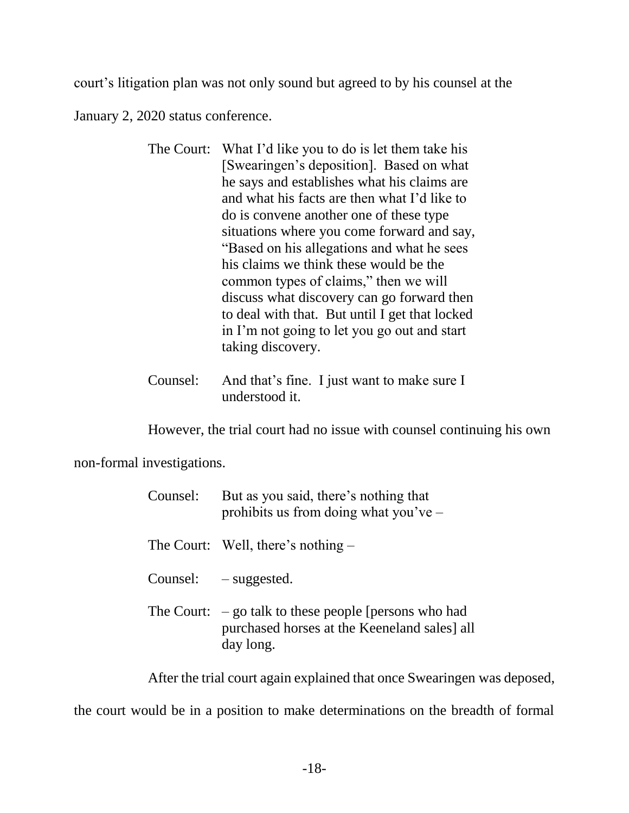court's litigation plan was not only sound but agreed to by his counsel at the

January 2, 2020 status conference.

- The Court: What I'd like you to do is let them take his [Swearingen's deposition]. Based on what he says and establishes what his claims are and what his facts are then what I'd like to do is convene another one of these type situations where you come forward and say, "Based on his allegations and what he sees his claims we think these would be the common types of claims," then we will discuss what discovery can go forward then to deal with that. But until I get that locked in I'm not going to let you go out and start taking discovery.
- Counsel: And that's fine. I just want to make sure I understood it.

However, the trial court had no issue with counsel continuing his own

non-formal investigations.

| Counsel: | But as you said, there's nothing that<br>prohibits us from doing what you've $-$                                     |
|----------|----------------------------------------------------------------------------------------------------------------------|
|          | The Court: Well, there's nothing $-$                                                                                 |
|          | Counsel: $-$ suggested.                                                                                              |
|          | The Court: $-$ go talk to these people [persons who had<br>purchased horses at the Keeneland sales] all<br>day long. |

After the trial court again explained that once Swearingen was deposed,

the court would be in a position to make determinations on the breadth of formal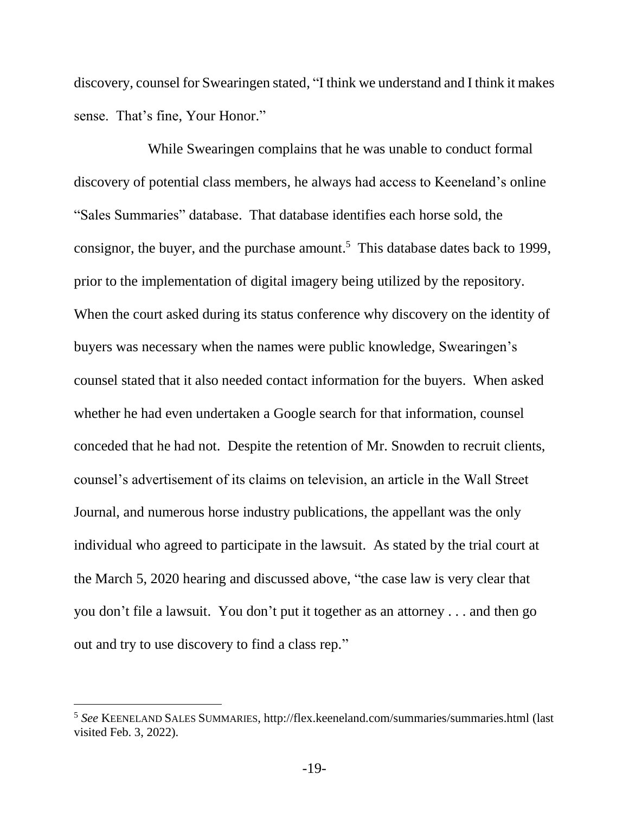discovery, counsel for Swearingen stated, "I think we understand and I think it makes sense. That's fine, Your Honor."

While Swearingen complains that he was unable to conduct formal discovery of potential class members, he always had access to Keeneland's online "Sales Summaries" database. That database identifies each horse sold, the consignor, the buyer, and the purchase amount. <sup>5</sup> This database dates back to 1999, prior to the implementation of digital imagery being utilized by the repository. When the court asked during its status conference why discovery on the identity of buyers was necessary when the names were public knowledge, Swearingen's counsel stated that it also needed contact information for the buyers. When asked whether he had even undertaken a Google search for that information, counsel conceded that he had not. Despite the retention of Mr. Snowden to recruit clients, counsel's advertisement of its claims on television, an article in the Wall Street Journal, and numerous horse industry publications, the appellant was the only individual who agreed to participate in the lawsuit. As stated by the trial court at the March 5, 2020 hearing and discussed above, "the case law is very clear that you don't file a lawsuit. You don't put it together as an attorney . . . and then go out and try to use discovery to find a class rep."

 $\overline{a}$ 

<sup>5</sup> *See* KEENELAND SALES SUMMARIES, http://flex.keeneland.com/summaries/summaries.html (last visited Feb. 3, 2022).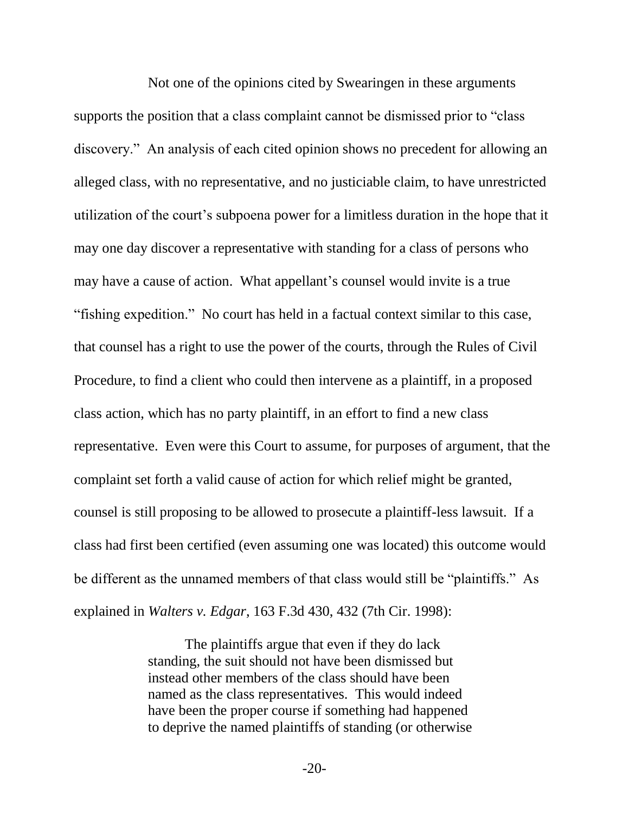Not one of the opinions cited by Swearingen in these arguments supports the position that a class complaint cannot be dismissed prior to "class discovery." An analysis of each cited opinion shows no precedent for allowing an alleged class, with no representative, and no justiciable claim, to have unrestricted utilization of the court's subpoena power for a limitless duration in the hope that it may one day discover a representative with standing for a class of persons who may have a cause of action. What appellant's counsel would invite is a true "fishing expedition." No court has held in a factual context similar to this case, that counsel has a right to use the power of the courts, through the Rules of Civil Procedure, to find a client who could then intervene as a plaintiff, in a proposed class action, which has no party plaintiff, in an effort to find a new class representative. Even were this Court to assume, for purposes of argument, that the complaint set forth a valid cause of action for which relief might be granted, counsel is still proposing to be allowed to prosecute a plaintiff-less lawsuit. If a class had first been certified (even assuming one was located) this outcome would be different as the unnamed members of that class would still be "plaintiffs." As explained in *Walters v. Edgar*, 163 F.3d 430, 432 (7th Cir. 1998):

> The plaintiffs argue that even if they do lack standing, the suit should not have been dismissed but instead other members of the class should have been named as the class representatives. This would indeed have been the proper course if something had happened to deprive the named plaintiffs of standing (or otherwise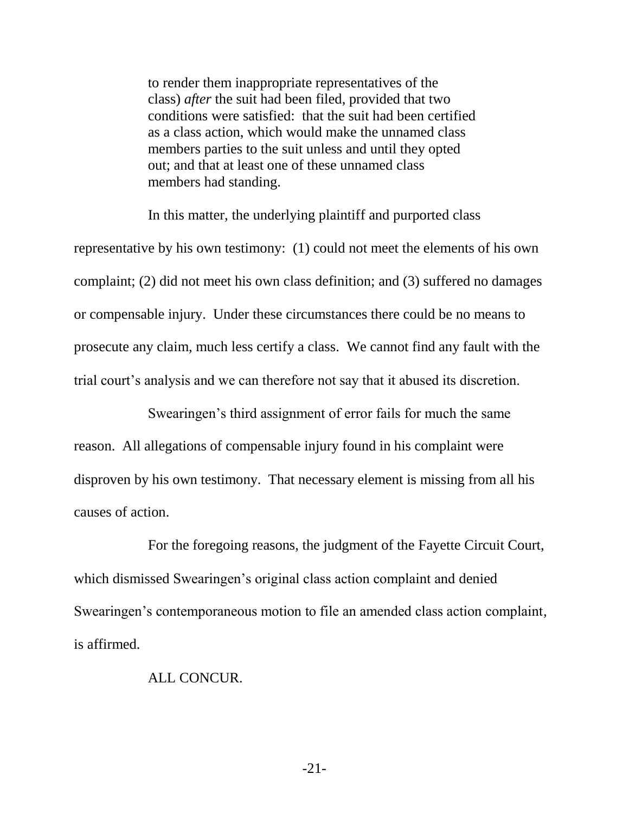to render them inappropriate representatives of the class) *after* the suit had been filed, provided that two conditions were satisfied: that the suit had been certified as a class action, which would make the unnamed class members parties to the suit unless and until they opted out; and that at least one of these unnamed class members had standing.

In this matter, the underlying plaintiff and purported class representative by his own testimony: (1) could not meet the elements of his own complaint; (2) did not meet his own class definition; and (3) suffered no damages or compensable injury. Under these circumstances there could be no means to prosecute any claim, much less certify a class. We cannot find any fault with the trial court's analysis and we can therefore not say that it abused its discretion.

Swearingen's third assignment of error fails for much the same reason. All allegations of compensable injury found in his complaint were disproven by his own testimony. That necessary element is missing from all his causes of action.

For the foregoing reasons, the judgment of the Fayette Circuit Court, which dismissed Swearingen's original class action complaint and denied Swearingen's contemporaneous motion to file an amended class action complaint, is affirmed.

#### ALL CONCUR.

-21-